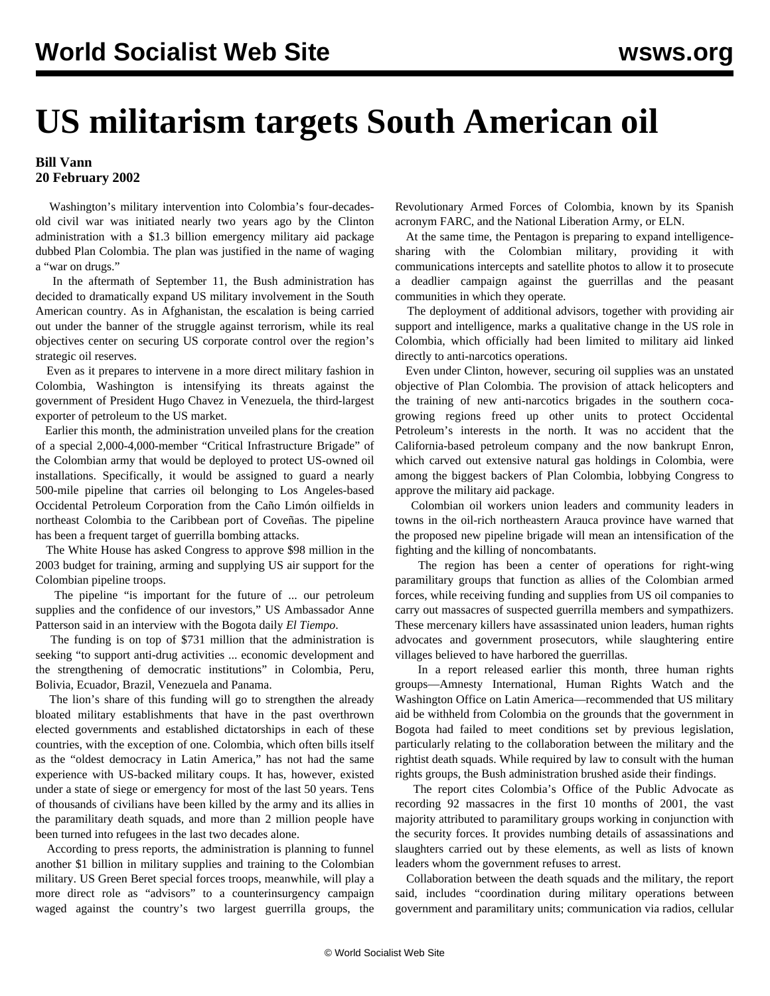## **US militarism targets South American oil**

## **Bill Vann 20 February 2002**

 Washington's military intervention into Colombia's four-decadesold civil war was initiated nearly two years ago by the Clinton administration with a \$1.3 billion emergency military aid package dubbed Plan Colombia. The plan was justified in the name of waging a "war on drugs."

 In the aftermath of September 11, the Bush administration has decided to dramatically expand US military involvement in the South American country. As in Afghanistan, the escalation is being carried out under the banner of the struggle against terrorism, while its real objectives center on securing US corporate control over the region's strategic oil reserves.

 Even as it prepares to intervene in a more direct military fashion in Colombia, Washington is intensifying its threats against the government of President Hugo Chavez in Venezuela, the third-largest exporter of petroleum to the US market.

 Earlier this month, the administration unveiled plans for the creation of a special 2,000-4,000-member "Critical Infrastructure Brigade" of the Colombian army that would be deployed to protect US-owned oil installations. Specifically, it would be assigned to guard a nearly 500-mile pipeline that carries oil belonging to Los Angeles-based Occidental Petroleum Corporation from the Caño Limón oilfields in northeast Colombia to the Caribbean port of Coveñas. The pipeline has been a frequent target of guerrilla bombing attacks.

 The White House has asked Congress to approve \$98 million in the 2003 budget for training, arming and supplying US air support for the Colombian pipeline troops.

 The pipeline "is important for the future of ... our petroleum supplies and the confidence of our investors," US Ambassador Anne Patterson said in an interview with the Bogota daily *El Tiempo*.

 The funding is on top of \$731 million that the administration is seeking "to support anti-drug activities ... economic development and the strengthening of democratic institutions" in Colombia, Peru, Bolivia, Ecuador, Brazil, Venezuela and Panama.

 The lion's share of this funding will go to strengthen the already bloated military establishments that have in the past overthrown elected governments and established dictatorships in each of these countries, with the exception of one. Colombia, which often bills itself as the "oldest democracy in Latin America," has not had the same experience with US-backed military coups. It has, however, existed under a state of siege or emergency for most of the last 50 years. Tens of thousands of civilians have been killed by the army and its allies in the paramilitary death squads, and more than 2 million people have been turned into refugees in the last two decades alone.

 According to press reports, the administration is planning to funnel another \$1 billion in military supplies and training to the Colombian military. US Green Beret special forces troops, meanwhile, will play a more direct role as "advisors" to a counterinsurgency campaign waged against the country's two largest guerrilla groups, the Revolutionary Armed Forces of Colombia, known by its Spanish acronym FARC, and the National Liberation Army, or ELN.

 At the same time, the Pentagon is preparing to expand intelligencesharing with the Colombian military, providing it with communications intercepts and satellite photos to allow it to prosecute a deadlier campaign against the guerrillas and the peasant communities in which they operate.

 The deployment of additional advisors, together with providing air support and intelligence, marks a qualitative change in the US role in Colombia, which officially had been limited to military aid linked directly to anti-narcotics operations.

 Even under Clinton, however, securing oil supplies was an unstated objective of Plan Colombia. The provision of attack helicopters and the training of new anti-narcotics brigades in the southern cocagrowing regions freed up other units to protect Occidental Petroleum's interests in the north. It was no accident that the California-based petroleum company and the now bankrupt Enron, which carved out extensive natural gas holdings in Colombia, were among the biggest backers of Plan Colombia, lobbying Congress to approve the military aid package.

 Colombian oil workers union leaders and community leaders in towns in the oil-rich northeastern Arauca province have warned that the proposed new pipeline brigade will mean an intensification of the fighting and the killing of noncombatants.

 The region has been a center of operations for right-wing paramilitary groups that function as allies of the Colombian armed forces, while receiving funding and supplies from US oil companies to carry out massacres of suspected guerrilla members and sympathizers. These mercenary killers have assassinated union leaders, human rights advocates and government prosecutors, while slaughtering entire villages believed to have harbored the guerrillas.

 In a report released earlier this month, three human rights groups—Amnesty International, Human Rights Watch and the Washington Office on Latin America—recommended that US military aid be withheld from Colombia on the grounds that the government in Bogota had failed to meet conditions set by previous legislation, particularly relating to the collaboration between the military and the rightist death squads. While required by law to consult with the human rights groups, the Bush administration brushed aside their findings.

 The report cites Colombia's Office of the Public Advocate as recording 92 massacres in the first 10 months of 2001, the vast majority attributed to paramilitary groups working in conjunction with the security forces. It provides numbing details of assassinations and slaughters carried out by these elements, as well as lists of known leaders whom the government refuses to arrest.

 Collaboration between the death squads and the military, the report said, includes "coordination during military operations between government and paramilitary units; communication via radios, cellular